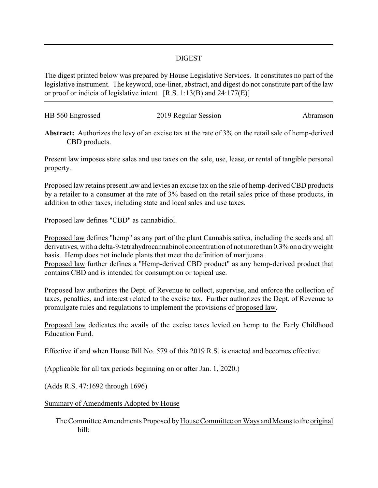## DIGEST

The digest printed below was prepared by House Legislative Services. It constitutes no part of the legislative instrument. The keyword, one-liner, abstract, and digest do not constitute part of the law or proof or indicia of legislative intent. [R.S. 1:13(B) and 24:177(E)]

| HB 560 Engrossed | 2019 Regular Session | Abramson |
|------------------|----------------------|----------|
|                  |                      |          |

**Abstract:** Authorizes the levy of an excise tax at the rate of 3% on the retail sale of hemp-derived CBD products.

Present law imposes state sales and use taxes on the sale, use, lease, or rental of tangible personal property.

Proposed law retains present law and levies an excise tax on the sale of hemp-derived CBD products by a retailer to a consumer at the rate of 3% based on the retail sales price of these products, in addition to other taxes, including state and local sales and use taxes.

Proposed law defines "CBD" as cannabidiol.

Proposed law defines "hemp" as any part of the plant Cannabis sativa, including the seeds and all derivatives, with a delta-9-tetrahydrocannabinol concentration of not more than 0.3% on a dry weight basis. Hemp does not include plants that meet the definition of marijuana.

Proposed law further defines a "Hemp-derived CBD product" as any hemp-derived product that contains CBD and is intended for consumption or topical use.

Proposed law authorizes the Dept. of Revenue to collect, supervise, and enforce the collection of taxes, penalties, and interest related to the excise tax. Further authorizes the Dept. of Revenue to promulgate rules and regulations to implement the provisions of proposed law.

Proposed law dedicates the avails of the excise taxes levied on hemp to the Early Childhood Education Fund.

Effective if and when House Bill No. 579 of this 2019 R.S. is enacted and becomes effective.

(Applicable for all tax periods beginning on or after Jan. 1, 2020.)

(Adds R.S. 47:1692 through 1696)

Summary of Amendments Adopted by House

The Committee Amendments Proposed byHouse Committee on Ways and Means to the original bill: